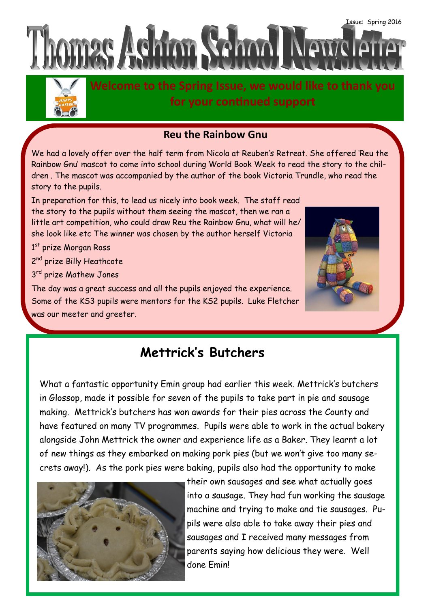



**Welcome to the Spring Issue, we would like to thank you for your continued support**

## **Reu the Rainbow Gnu**

We had a lovely offer over the half term from Nicola at Reuben's Retreat. She offered 'Reu the Rainbow Gnu' mascot to come into school during World Book Week to read the story to the children . The mascot was accompanied by the author of the book Victoria Trundle, who read the story to the pupils.

In preparation for this, to lead us nicely into book week. The staff read the story to the pupils without them seeing the mascot, then we ran a little art competition, who could draw Reu the Rainbow Gnu, what will he/ she look like etc The winner was chosen by the author herself Victoria

1st prize Morgan Ross

2<sup>nd</sup> prize Billy Heathcote

3<sup>rd</sup> prize Mathew Jones

The day was a great success and all the pupils enjoyed the experience. Some of the KS3 pupils were mentors for the KS2 pupils. Luke Fletcher was our meeter and greeter.



# **Mettrick's Butchers**

What a fantastic opportunity Emin group had earlier this week. Mettrick's butchers in Glossop, made it possible for seven of the pupils to take part in pie and sausage making. Mettrick's butchers has won awards for their pies across the County and have featured on many TV programmes. Pupils were able to work in the actual bakery alongside John Mettrick the owner and experience life as a Baker. They learnt a lot of new things as they embarked on making pork pies (but we won't give too many secrets away!). As the pork pies were baking, pupils also had the opportunity to make



their own sausages and see what actually goes into a sausage. They had fun working the sausage machine and trying to make and tie sausages. Pupils were also able to take away their pies and sausages and I received many messages from parents saying how delicious they were. Well done Emin!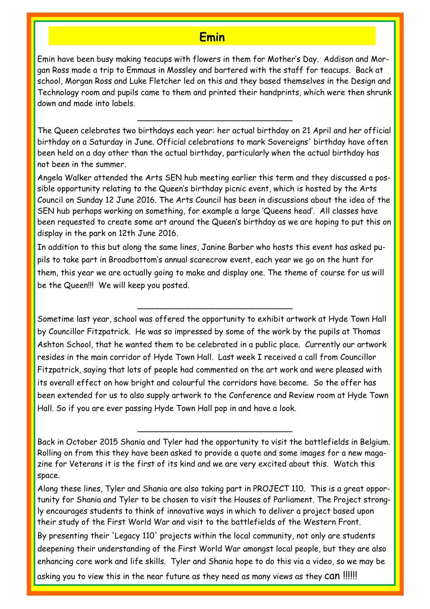## **Emin**

Emin have been busy making teacups with flowers in them for Mother's Day. Addison and Morgan Ross made a trip to Emmaus in Mossley and bartered with the staff for teacups. Back at school, Morgan Ross and Luke Fletcher led on this and they based themselves in the Design and Technology room and pupils came to them and printed their handprints, which were then shrunk down and made into labels.

The Queen celebrates two birthdays each year: her actual birthday on 21 April and her official birthday on a Saturday in June. Official celebrations to mark Sovereigns' birthday have often been held on a day other than the actual birthday, particularly when the actual birthday has not been in the summer.

\_\_\_\_\_\_\_\_\_\_\_\_\_\_\_\_\_\_\_\_\_\_\_\_\_\_\_\_\_\_\_

Angela Walker attended the Arts SEN hub meeting earlier this term and they discussed a possible opportunity relating to the Queen's birthday picnic event, which is hosted by the Arts Council on Sunday 12 June 2016. The Arts Council has been in discussions about the idea of the SEN hub perhaps working on something, for example a large 'Queens head'. All classes have been requested to create some art around the Queen's birthday as we are hoping to put this on display in the park on 12th June 2016.

In addition to this but along the same lines, Janine Barber who hosts this event has asked pupils to take part in Broadbottom's annual scarecrow event, each year we go on the hunt for them, this year we are actually going to make and display one. The theme of course for us will be the Queen!!! We will keep you posted.

\_\_\_\_\_\_\_\_\_\_\_\_\_\_\_\_\_\_\_\_\_\_\_\_\_\_\_\_\_\_\_

Sometime last year, school was offered the opportunity to exhibit artwork at Hyde Town Hall by Councillor Fitzpatrick. He was so impressed by some of the work by the pupils at Thomas Ashton School, that he wanted them to be celebrated in a public place. Currently our artwork resides in the main corridor of Hyde Town Hall. Last week I received a call from Councillor Fitzpatrick, saying that lots of people had commented on the art work and were pleased with its overall effect on how bright and colourful the corridors have become. So the offer has been extended for us to also supply artwork to the Conference and Review room at Hyde Town Hall. So if you are ever passing Hyde Town Hall pop in and have a look.

Back in October 2015 Shania and Tyler had the opportunity to visit the battlefields in Belgium. Rolling on from this they have been asked to provide a quote and some images for a new magazine for Veterans it is the first of its kind and we are very excited about this. Watch this space.

\_\_\_\_\_\_\_\_\_\_\_\_\_\_\_\_\_\_\_\_\_\_\_\_\_\_\_\_\_\_\_

Along these lines, Tyler and Shania are also taking part in PROJECT 110. This is a great opportunity for Shania and Tyler to be chosen to visit the Houses of Parliament. The Project strongly encourages students to think of innovative ways in which to deliver a project based upon their study of the First World War and visit to the battlefields of the Western Front.

By presenting their 'Legacy 110' projects within the local community, not only are students deepening their understanding of the First World War amongst local people, but they are also enhancing core work and life skills. Tyler and Shania hope to do this via a video, so we may be

asking you to view this in the near future as they need as many views as they CAN !!!!!!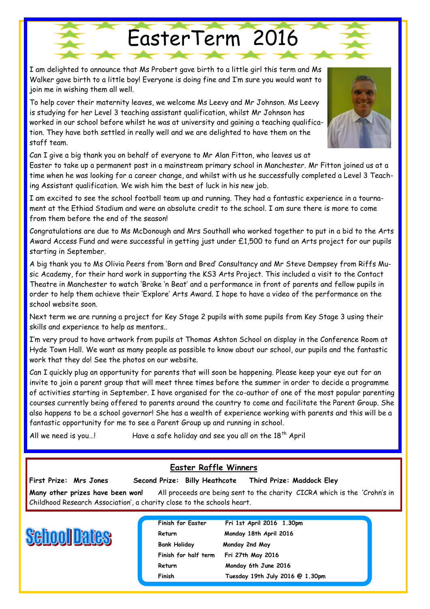I am delighted to announce that Ms Probert gave birth to a little girl this term and Ms Walker gave birth to a little boy! Everyone is doing fine and I'm sure you would want to join me in wishing them all well.

To help cover their maternity leaves, we welcome Ms Leevy and Mr Johnson. Ms Leevy is studying for her Level 3 teaching assistant qualification, whilst Mr Johnson has worked in our school before whilst he was at university and gaining a teaching qualification. They have both settled in really well and we are delighted to have them on the staff team.

Can I give a big thank you on behalf of everyone to Mr Alan Fitton, who leaves us at

Easter to take up a permanent post in a mainstream primary school in Manchester. Mr Fitton joined us at a time when he was looking for a career change, and whilst with us he successfully completed a Level 3 Teaching Assistant qualification. We wish him the best of luck in his new job.

EasterTerm 2016

I am excited to see the school football team up and running. They had a fantastic experience in a tournament at the Ethiad Stadium and were an absolute credit to the school. I am sure there is more to come from them before the end of the season!

Congratulations are due to Ms McDonough and Mrs Southall who worked together to put in a bid to the Arts Award Access Fund and were successful in getting just under £1,500 to fund an Arts project for our pupils starting in September.

A big thank you to Ms Olivia Peers from 'Born and Bred' Consultancy and Mr Steve Dempsey from Riffs Music Academy, for their hard work in supporting the KS3 Arts Project. This included a visit to the Contact Theatre in Manchester to watch 'Broke 'n Beat' and a performance in front of parents and fellow pupils in order to help them achieve their 'Explore' Arts Award. I hope to have a video of the performance on the school website soon.

Next term we are running a project for Key Stage 2 pupils with some pupils from Key Stage 3 using their skills and experience to help as mentors..

I'm very proud to have artwork from pupils at Thomas Ashton School on display in the Conference Room at Hyde Town Hall. We want as many people as possible to know about our school, our pupils and the fantastic work that they do! See the photos on our website.

Can I quickly plug an opportunity for parents that will soon be happening. Please keep your eye out for an invite to join a parent group that will meet three times before the summer in order to decide a programme of activities starting in September. I have organised for the co-author of one of the most popular parenting courses currently being offered to parents around the country to come and facilitate the Parent Group. She also happens to be a school governor! She has a wealth of experience working with parents and this will be a fantastic opportunity for me to see a Parent Group up and running in school.

All we need is you...! Have a safe holiday and see you all on the  $18<sup>th</sup>$  April

## **Easter Raffle Winners**

**First Prize: Mrs Jones Second Prize: Billy Heathcote Third Prize: Maddock Eley**

**Many other prizes have been won!** All proceeds are being sent to the charity CICRA which is the 'Crohn's in Childhood Research Association', a charity close to the schools heart.



**Bank Holiday Monday 2nd May**

**Finish for Easter Fri 1st April 2016 1.30pm** Return Monday 18th April 2016 **Finish for half term Fri 27th May 2016**  Return Monday 6th June 2016 **Finish Tuesday 19th July 2016 @ 1.30pm**